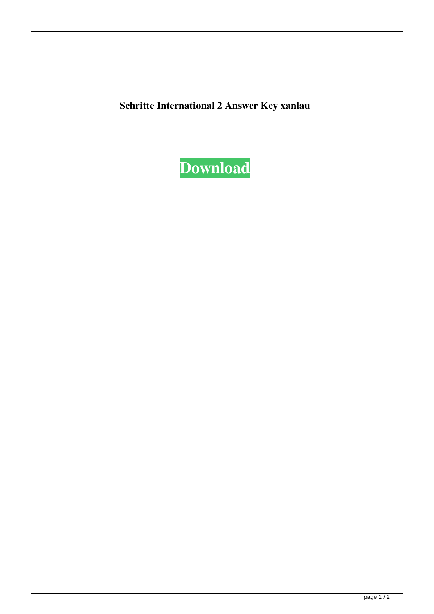Schritte International 2 Answer Key xanlau